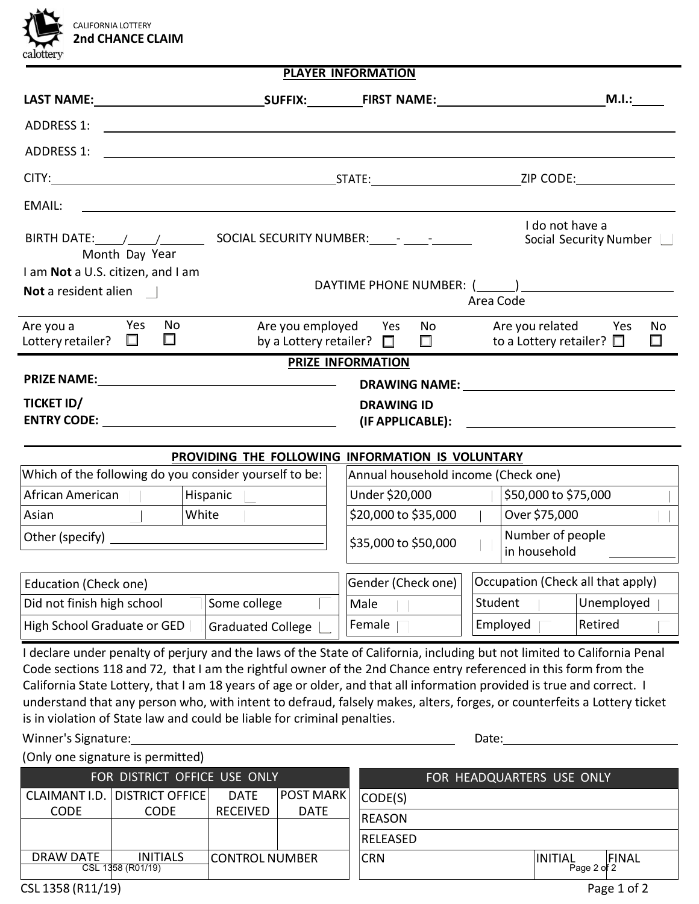

| PLAYER INFORMATION |
|--------------------|
|--------------------|

|                                                                                        |                                                                                                                                                                                                                                                                                                                                                                                                                                                                                                                                                                               |                                                  |                                                          |      |                                     | M.I.: |         |                                                                                                                                                                                                                                     |                          |              |
|----------------------------------------------------------------------------------------|-------------------------------------------------------------------------------------------------------------------------------------------------------------------------------------------------------------------------------------------------------------------------------------------------------------------------------------------------------------------------------------------------------------------------------------------------------------------------------------------------------------------------------------------------------------------------------|--------------------------------------------------|----------------------------------------------------------|------|-------------------------------------|-------|---------|-------------------------------------------------------------------------------------------------------------------------------------------------------------------------------------------------------------------------------------|--------------------------|--------------|
| ADDRESS 1:                                                                             | <u> 1989 - Johann Stone, mars et al. (</u> † 1920)                                                                                                                                                                                                                                                                                                                                                                                                                                                                                                                            |                                                  |                                                          |      |                                     |       |         |                                                                                                                                                                                                                                     |                          |              |
| <b>ADDRESS 1:</b>                                                                      | <u> 1989 - John Stein, mars and de Britain and de Britain and de Britain and de Britain and de Britain and de Br</u>                                                                                                                                                                                                                                                                                                                                                                                                                                                          |                                                  |                                                          |      |                                     |       |         |                                                                                                                                                                                                                                     |                          |              |
|                                                                                        |                                                                                                                                                                                                                                                                                                                                                                                                                                                                                                                                                                               |                                                  |                                                          |      |                                     |       |         |                                                                                                                                                                                                                                     |                          |              |
| <b>EMAIL:</b>                                                                          | <u> 1980 - Johann John Stein, markin fyrstu og fyrstu og fyrir og fyrir og fyrir og fyrir og fyrir og fyrir og f</u>                                                                                                                                                                                                                                                                                                                                                                                                                                                          |                                                  |                                                          |      |                                     |       |         |                                                                                                                                                                                                                                     |                          |              |
| Month Day Year                                                                         |                                                                                                                                                                                                                                                                                                                                                                                                                                                                                                                                                                               |                                                  |                                                          |      |                                     |       |         | I do not have a                                                                                                                                                                                                                     | Social Security Number _ |              |
| I am Not a U.S. citizen, and I am<br>Not a resident alien                              |                                                                                                                                                                                                                                                                                                                                                                                                                                                                                                                                                                               |                                                  |                                                          |      | Area Code                           |       |         |                                                                                                                                                                                                                                     |                          |              |
| Are you a<br>Lottery retailer?                                                         | <b>Press</b><br>No<br>$\Box$<br>$\Box$                                                                                                                                                                                                                                                                                                                                                                                                                                                                                                                                        |                                                  | Are you employed Yes<br>by a Lottery retailer? $\square$ |      | $\Box$                              | No    |         | Are you related<br>to a Lottery retailer? $\square$                                                                                                                                                                                 | Yes                      | No<br>$\Box$ |
|                                                                                        |                                                                                                                                                                                                                                                                                                                                                                                                                                                                                                                                                                               |                                                  | <b>PRIZE INFORMATION</b>                                 |      |                                     |       |         |                                                                                                                                                                                                                                     |                          |              |
|                                                                                        |                                                                                                                                                                                                                                                                                                                                                                                                                                                                                                                                                                               |                                                  |                                                          |      |                                     |       |         | <b>DRAWING NAME:</b> The contract of the contract of the contract of the contract of the contract of the contract of the contract of the contract of the contract of the contract of the contract of the contract of the contract o |                          |              |
| TICKET ID/                                                                             |                                                                                                                                                                                                                                                                                                                                                                                                                                                                                                                                                                               |                                                  |                                                          |      | <b>DRAWING ID</b>                   |       |         | (IF APPLICABLE): ___________________________                                                                                                                                                                                        |                          |              |
|                                                                                        |                                                                                                                                                                                                                                                                                                                                                                                                                                                                                                                                                                               |                                                  |                                                          |      |                                     |       |         |                                                                                                                                                                                                                                     |                          |              |
|                                                                                        |                                                                                                                                                                                                                                                                                                                                                                                                                                                                                                                                                                               | PROVIDING THE FOLLOWING INFORMATION IS VOLUNTARY |                                                          |      | Annual household income (Check one) |       |         |                                                                                                                                                                                                                                     |                          |              |
| Which of the following do you consider yourself to be:<br>Hispanic<br>African American |                                                                                                                                                                                                                                                                                                                                                                                                                                                                                                                                                                               |                                                  |                                                          |      | Under \$20,000                      |       |         | \$50,000 to \$75,000                                                                                                                                                                                                                |                          |              |
| White<br>Asian                                                                         |                                                                                                                                                                                                                                                                                                                                                                                                                                                                                                                                                                               |                                                  |                                                          |      | \$20,000 to \$35,000                |       |         | Over \$75,000                                                                                                                                                                                                                       |                          |              |
|                                                                                        |                                                                                                                                                                                                                                                                                                                                                                                                                                                                                                                                                                               |                                                  |                                                          |      | \$35,000 to \$50,000                |       |         | Number of people<br>in household                                                                                                                                                                                                    |                          |              |
| Education (Check one)                                                                  |                                                                                                                                                                                                                                                                                                                                                                                                                                                                                                                                                                               |                                                  |                                                          |      | Gender (Check one)                  |       |         | Occupation (Check all that apply)                                                                                                                                                                                                   |                          |              |
| Did not finish high school<br>Some college                                             |                                                                                                                                                                                                                                                                                                                                                                                                                                                                                                                                                                               |                                                  |                                                          | Male |                                     |       | Student | Unemployed                                                                                                                                                                                                                          |                          |              |
| High School Graduate or GED<br><b>Graduated College</b>                                |                                                                                                                                                                                                                                                                                                                                                                                                                                                                                                                                                                               |                                                  |                                                          |      | Female                              |       |         | Employed                                                                                                                                                                                                                            | Retired                  |              |
| Winner's Signature:                                                                    | I declare under penalty of perjury and the laws of the State of California, including but not limited to California Penal<br>Code sections 118 and 72, that I am the rightful owner of the 2nd Chance entry referenced in this form from the<br>California State Lottery, that I am 18 years of age or older, and that all information provided is true and correct. I<br>understand that any person who, with intent to defraud, falsely makes, alters, forges, or counterfeits a Lottery ticket<br>is in violation of State law and could be liable for criminal penalties. |                                                  |                                                          |      |                                     |       | Date:   |                                                                                                                                                                                                                                     |                          |              |
|                                                                                        | (Only one signature is permitted)                                                                                                                                                                                                                                                                                                                                                                                                                                                                                                                                             |                                                  |                                                          |      |                                     |       |         |                                                                                                                                                                                                                                     |                          |              |
| CLAIMANT I.D.                                                                          | FOR DISTRICT OFFICE USE ONLY<br><b>DISTRICT OFFICE</b>                                                                                                                                                                                                                                                                                                                                                                                                                                                                                                                        | <b>DATE</b>                                      | <b>POST MARK</b>                                         |      |                                     |       |         | FOR HEADQUARTERS USE ONLY                                                                                                                                                                                                           |                          |              |
| CODE                                                                                   | CODE                                                                                                                                                                                                                                                                                                                                                                                                                                                                                                                                                                          | <b>RECEIVED</b>                                  | <b>DATE</b>                                              |      | CODE(S)                             |       |         |                                                                                                                                                                                                                                     |                          |              |
|                                                                                        |                                                                                                                                                                                                                                                                                                                                                                                                                                                                                                                                                                               |                                                  |                                                          |      | <b>REASON</b>                       |       |         |                                                                                                                                                                                                                                     |                          |              |

|                                                                                             |  |            | <b>RELEASED</b>                               |  |         |
|---------------------------------------------------------------------------------------------|--|------------|-----------------------------------------------|--|---------|
| <b>DRAW DATE</b><br><b>INITIALS</b><br><b>CONTROL NUMBER</b><br><b>CSL</b><br>1358 (R01/19) |  | <b>CRN</b> | <b>INITIAL</b><br><b>FINAL</b><br>Page 2 of 2 |  |         |
| C1 12E0 1011 101                                                                            |  |            |                                               |  | $D = 1$ |

CSL 1358 (R11/19)

Page 1 of 2